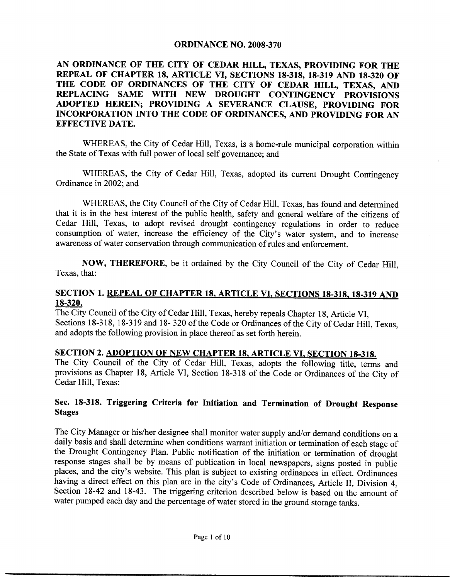#### **ORDINANCE NO. 2008-370**

#### AN ORDINANCE OF THE CITY OF CEDAR HILL, TEXAS, PROVIDING FOR THE REPEAL OF CHAPTER 18, ARTICLE VI, SECTIONS 18-318, 18-319 AND 18-320 OF THE CODE OF ORDINANCES OF THE CITY OF CEDAR HILL, TEXAS, AND REPLACING SAME WITH NEW DROUGHT CONTINGENCY PROVISIONS ADOPTED HEREIN; PROVIDING A SEVERANCE CLAUSE, PROVIDING FOR INCORPORATION INTO THE CODE OF ORDINANCES AND PROVIDING FOR AN EFFECTIVE DATE

WHEREAS, the City of Cedar Hill, Texas, is a home-rule municipal corporation within the State of Texas with full power of local self governance; and

WHEREAS, the City of Cedar Hill, Texas, adopted its current Drought Contingency Ordinance in 2002; and

WHEREAS, the City Council of the City of Cedar Hill, Texas, has found and determined that it is in the best interest of the public health, safety and general welfare of the citizens of Cedar Hill, Texas, to adopt revised drought contingency regulations in order to reduce consumption of water, increase the efficiency of the City's water system, and to increase awareness of water conservation through communication of rules and enforcement.

NOW, THEREFORE, be it ordained by the City Council of the City of Cedar Hill. Texas, that:

#### SECTION 1. REPEAL OF CHAPTER 18, ARTICLE VI, SECTIONS 18-318, 18-319 AND 18-320.

The City Council of the City of Cedar Hill, Texas, hereby repeals Chapter 18, Article VI, Sections 18-318, 18-319 and 18-320 of the Code or Ordinances of the City of Cedar Hill, Texas, and adopts the following provision in place thereof as set forth herein.

# SECTION 2. ADOPTION OF NEW CHAPTER 18, ARTICLE VI, SECTION 18-318.

The City Council of the City of Cedar Hill, Texas, adopts the following title, terms and provisions as Chapter 18, Article VI, Section 18-318 of the Code or Ordinances of the City of Cedar Hill, Texas:

# Sec. 18-318. Triggering Criteria for Initiation and Termination of Drought Response Stages

The City Manager or his/her designee shall monitor water supply and/or demand conditions on a daily basis and shall determine when conditions warrant initiation or termination ofeach stage of the Drought Contingency Plan. Public notification of the initiation or termination of drought response stages shall be by means of publication in local newspapers, signs posted in public places, and the city's website. This plan is subject to existing ordinances in effect. Ordinances having a direct effect on this plan are in the city's Code of Ordinances, Article II, Division 4, Section 18-42 and 18-43. The triggering criterion described below is based on the amount of water pumped each day and the percentage of water stored in the ground storage tanks.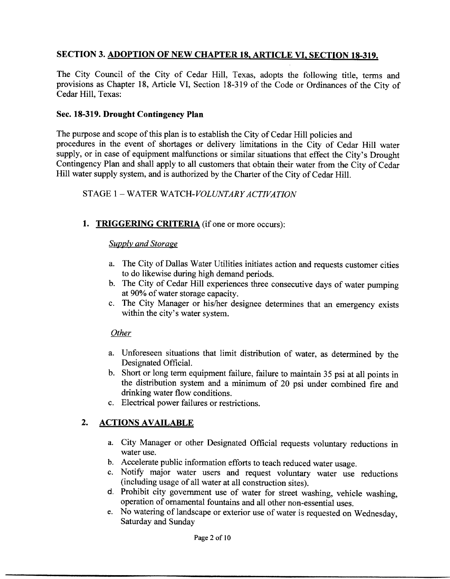# SECTION 3. ADOPTION OF NEW CHAPTER 18, ARTICLE VI, SECTION 18-319.

The City Council of the City of Cedar Hill, Texas, adopts the following title, terms and provisions as Chapter 18, Article VI, Section 18-319 of the Code or Ordinances of the City of Cedar Hill, Texas:

#### Sec. 18-319. Drought Contingency Plan

The purpose and scope of this plan is to establish the City of Cedar Hill policies and procedures in the event of shortages or delivery limitations in the City of Cedar Hill water supply, or in case of equipment malfunctions or similar situations that effect the City's Drought Contingency Plan and shall apply to all customers that obtain their water from the City of Cedar Hill water supply system, and is authorized by the Charter of the City of Cedar Hill.

#### STAGE 1 - WATER WATCH-VOLUNTARY ACTIVATION

# 1. TRIGGERING CRITERIA (if one or more occurs):

#### **Supply and Storage**

- a. The City of Dallas Water Utilities initiates action and requests customer cities to do likewise during high demand periods
- b. The City of Cedar Hill experiences three consecutive days of water pumping at 90% of water storage capacity.
- c. The City Manager or his/her designee determines that an emergency exists within the city's water system.

#### **Other**

- a. Unforeseen situations that limit distribution of water, as determined by the Designated Official
- b. Short or long term equipment failure, failure to maintain 35 psi at all points in the distribution system and a minimum of <sup>20</sup> psi under combined fire and drinking water flow conditions
- c. Electrical power failures or restrictions.

# 2. ACTIONS AVAILABLE

- a. City Manager or other Designated Official requests voluntary reductions in water use.
- b. Accelerate public information efforts to teach reduced water usage.
- c. Notify major water users and request voluntary water use reductions (including usage of all water at all construction sites).
- d. Prohibit city government use of water for street washing, vehicle washing, operation of ornamental fountains and all other non-essential uses.
- e. No watering of landscape or exterior use of water is requested on Wednesday, Saturday and Sunday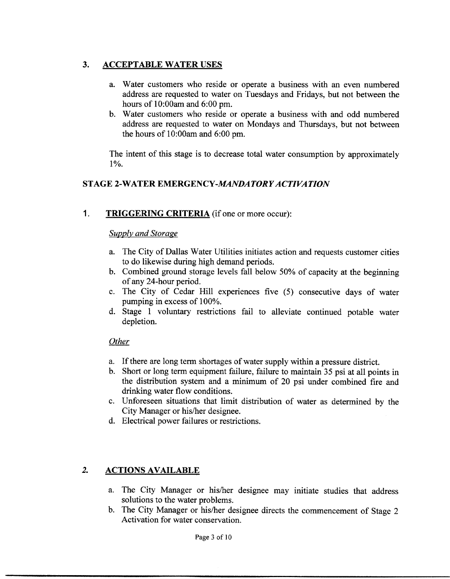# 3. ACCEPTABLE WATER USES

- a. Water customers who reside or operate a business with an even numbered address are requested to water on Tuesdays and Fridays, but not between the hours of  $10:00$ am and  $6:00$  pm.
- b. Water customers who reside or operate a business with and odd numbered address are requested to water on Mondays and Thursdays but not between the hours of  $10:00$ am and  $6:00$  pm.

The intent of this stage is to decrease total water consumption by approximately  $1\%$ .

# STAGE 2-WATER EMERGENCY-MANDATORY ACTIVATION

1. TRIGGERING CRITERIA (if one or more occur):

#### Supply and Storage

- a. The City of Dallas Water Utilities initiates action and requests customer cities to do likewise during high demand periods
- b. Combined ground storage levels fall below 50% of capacity at the beginning of any 24-hour period.
- c. The City of Cedar Hill experiences five (5) consecutive days of water pumping in excess of 100%.
- d. Stage 1 voluntary restrictions fail to alleviate continued potable water depletion

#### **Other**

- a. If there are long term shortages of water supply within a pressure district.
- b. Short or long term equipment failure, failure to maintain 35 psi at all points in the distribution system and a minimum of20 psi under combined fire and drinking water flow conditions
- c. Unforeseen situations that limit distribution of water as determined by the City Manager or his/her designee.
- d. Electrical power failures or restrictions.

# 2. ACTIONS AVAILABLE

- a. The City Manager or his/her designee may initiate studies that address solutions to the water problems.
- b. The City Manager or his/her designee directs the commencement of Stage 2 Activation for water conservation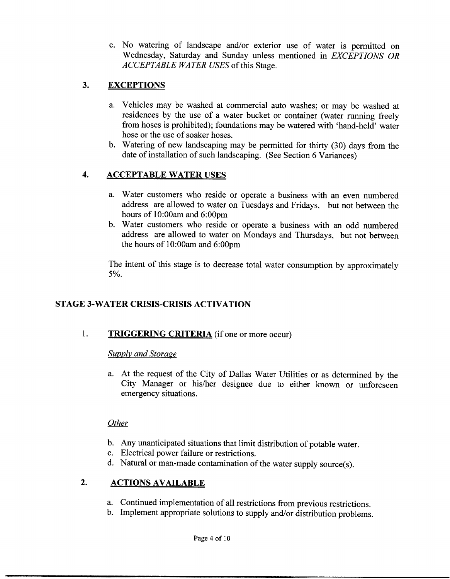c. No watering of landscape and/or exterior use of water is permitted on Wednesday, Saturday and Sunday unless mentioned in *EXCEPTIONS OR* ACCEPTABLE WATER USES of this Stage.

# 3. EXCEPTIONS

- a. Vehicles may be washed at commercial auto washes; or may be washed at residences by the use of a water bucket or container (water running freely from hoses is prohibited); foundations may be watered with 'hand-held' water hose or the use of soaker hoses.
- b. Watering of new landscaping may be permitted for thirty (30) days from the date of installation of such landscaping. (See Section 6 Variances)

# 4. ACCEPTABLE WATER USES

- a. Water customers who reside or operate a business with an even numbered address are allowed to water on Tuesdays and Fridays, but not between the hours of  $10:00$ am and  $6:00$ pm
- b. Water customers who reside or operate a business with an odd numbered address are allowed to water on Mondays and Thursdays, but not between the hours of  $10:00$ am and  $6:00$ pm

The intent of this stage is to decrease total water consumption by approximately 5%.

# STAGE 3 WATER CRISIS CRISIS ACTIVATION

# 1. TRIGGERING CRITERIA (if one or more occur)

#### Supply and Storage

a. At the request of the City of Dallas Water Utilities or as determined by the City Manager or his/her designee due to either known or unforeseen emergency situations

#### **Other**

- b. Any unanticipated situations that limit distribution of potable water.
- c. Electrical power failure or restrictions.
- d. Natural or man-made contamination of the water supply source(s).

# 2. ACTIONS AVAILABLE

- a. Continued implementation of all restrictions from previous restrictions.
- b. Implement appropriate solutions to supply and/or distribution problems.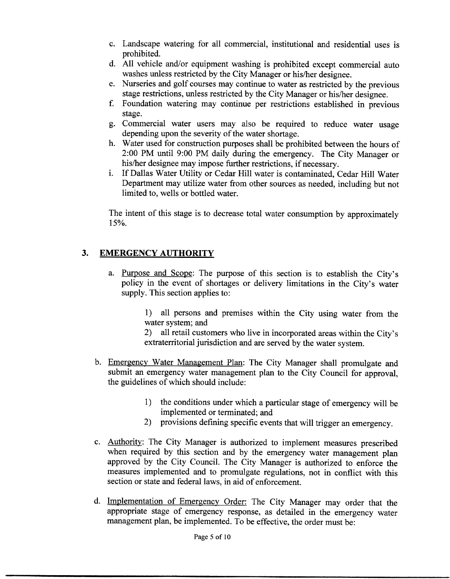- c. Landscape watering for all commercial, institutional and residential uses is prohibited
- d. All vehicle and/or equipment washing is prohibited except commercial auto washes unless restricted by the City Manager or his/her designee.
- e. Nurseries and golf courses may continue to water as restricted by the previous stage restrictions, unless restricted by the City Manager or his/her designee.
- f Foundation watering may continue per restrictions established in previous stage
- g Commercial water users may also be required to reduce water usage depending upon the severity of the water shortage.
- h. Water used for construction purposes shall be prohibited between the hours of 2:00 PM until 9:00 PM daily during the emergency. The City Manager or his/her designee may impose further restrictions, if necessary.
- i. If Dallas Water Utility or Cedar Hill water is contaminated, Cedar Hill Water Department may utilize water from other sources as needed, including but not limited to, wells or bottled water.

The intent of this stage is to decrease total water consumption by approximately 15%.

# 3. EMERGENCY AUTHORITY

a. Purpose and Scope: The purpose of this section is to establish the City's policy in the event of shortages or delivery limitations in the City's water supply. This section applies to:

> 1) all persons and premises within the City using water from the water system; and

> 2) all retail customers who live in incorporated areas within the City's extraterritorial jurisdiction and are served by the water system

- b. Emergency Water Management Plan: The City Manager shall promulgate and submit an emergency water management plan to the City Council for approval, the guidelines of which should include:
	- 1) the conditions under which a particular stage of emergency will be implemented or terminated: and
	- 2) provisions defining specific events that will trigger an emergency.
- c. Authority: The City Manager is authorized to implement measures prescribed when required by this section and by the emergency water management plan approved by the City Council. The City Manager is authorized to enforce the measures implemented and to promulgate regulations, not in conflict with this section or state and federal laws, in aid of enforcement.
- d. Implementation of Emergency Order: The City Manager may order that the appropriate stage of emergency response, as detailed in the emergency water management plan, be implemented. To be effective, the order must be: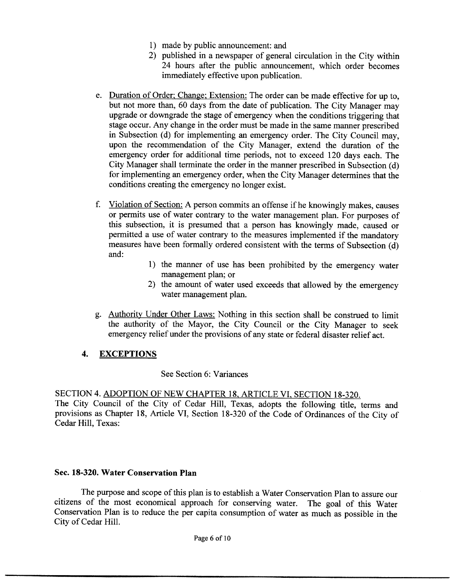- 1) made by public announcement: and
- 2) published in a newspaper of general circulation in the City within 24 hours after the public announcement, which order becomes immediately effective upon publication
- e. Duration of Order; Change; Extension: The order can be made effective for up to. but not more than, 60 days from the date of publication. The City Manager may upgrade or downgrade the stage of emergency when the conditions triggering that stage occur. Any change in the order must be made in the same manner prescribed in Subsection (d) for implementing an emergency order. The City Council may, upon the recommendation of the City Manager, extend the duration of the emergency order for additional time periods, not to exceed 120 days each. The City Manager shall terminate the order in the manner prescribed in Subsection  $(d)$ for implementing an emergency order, when the City Manager determines that the conditions creating the emergency no longer exist
- f. Violation of Section: A person commits an offense if he knowingly makes, causes or permits use of water contrary to the water management plan. For purposes of this subsection, it is presumed that a person has knowingly made, caused or permitted a use of water contrary to the measures implemented if the mandatory measures have been formally ordered consistent with the terms of Subsection (d) and
	- 1) the manner of use has been prohibited by the emergency water management plan; or
	- 2) the amount of water used exceeds that allowed by the emergency water management plan
- g. Authority Under Other Laws: Nothing in this section shall be construed to limit the authority of the Mayor, the City Council or the City Manager to seek emergency relief under the provisions of any state or federal disaster relief act

# 4. EXCEPTIONS

# See Section 6: Variances

SECTION 4. ADOPTION OF NEW CHAPTER 18, ARTICLE VI, SECTION 18-320.

The City Council of the City of Cedar Hill, Texas, adopts the following title, terms and provisions as Chapter 18, Article VI, Section 18-320 of the Code of Ordinances of the City of Cedar Hill, Texas:

# Sec. 18-320. Water Conservation Plan

The purpose and scope of this plan is to establish a Water Conservation Plan to assure our citizens of the most economical approach for conserving water The goal of this Water Conservation Plan is to reduce the per capita consumption of water as much as possible in the City of Cedar Hill.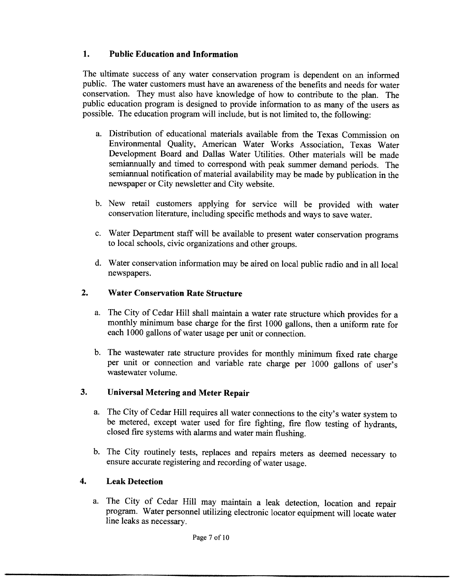# 1. Public Education and Information

The ultimate success of any water conservation program is dependent on an informed public. The water customers must have an awareness of the benefits and needs for water conservation. They must also have knowledge of how to contribute to the plan. The public education program is designed to provide information to as many of the users as possible. The education program will include, but is not limited to, the following:

- a. Distribution of educational materials available from the Texas Commission on Environmental Quality, American Water Works Association, Texas Water Development Board and Dallas Water Utilities Other materials will be made semiannually and timed to correspond with peak summer demand periods. The semiannual notification of material availability may be made by publication in the newspaper or City newsletter and City website
- <sup>b</sup> New retail customers applying for service will be provided with water conservation literature, including specific methods and ways to save water.
- c. Water Department staff will be available to present water conservation programs to local schools, civic organizations and other groups.
- d. Water conservation information may be aired on local public radio and in all local newspapers

# 2. Water Conservation Rate Structure

- a. The City of Cedar Hill shall maintain a water rate structure which provides for a monthly minimum base charge for the first 1000 gallons, then a uniform rate for each <sup>1000</sup> gallons of water usage per unit or connection
- b. The wastewater rate structure provides for monthly minimum fixed rate charge per unit or connection and variable rate charge per 1000 gallons of user's wastewater volume

# 3. Universal Metering and Meter Repair

- a. The City of Cedar Hill requires all water connections to the city's water system to be metered, except water used for fire fighting, fire flow testing of hydrants, closed fire systems with alarms and water main flushing
- b. The City routinely tests, replaces and repairs meters as deemed necessary to ensure accurate registering and recording of water usage.

# 4 Leak Detection

a. The City of Cedar Hill may maintain a leak detection, location and repair program. Water personnel utilizing electronic locator equipment will locate water line leaks as necessary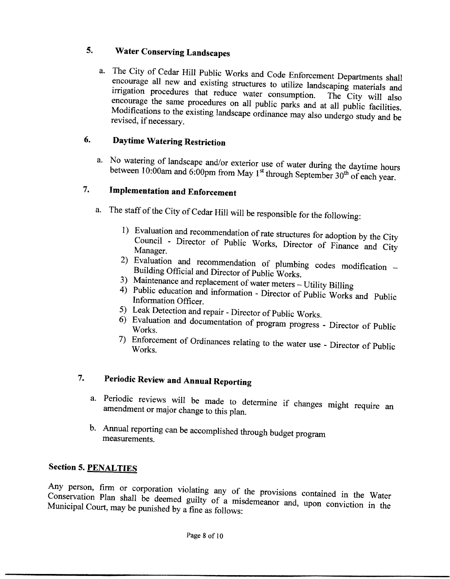# 5. Water Conserving Landscapes

a. The City of Cedar Hill Public Works and Code Enforcement Departments shall encourage all new and existing structures to utilize landscaping materials and irrigation procedures that reduce water consumption. The City will also encourage the same procedures on all public parks and at all public facilities. Modifications to the existing landscape ordinance may also undergo study and be revised, if necessary.

# **6.** Daytime Watering Restriction

a. No watering of landscape and/or exterior use of water during the daytime hours st through September  $30<sup>th</sup>$  of each year

#### 7 Implementation and Enforcement

- a. The staff of the City of Cedar Hill will be responsible for the following:
	- 1) Evaluation and recommendation of rate structures for adoption by the City Manager Council - Director of Public Works, Director of Finance and City
	- 2) Evaluation and recommendation of plumbing codes modification --<br>Building Official and Director of Public Works.
	- 3) Maintenance and replacement of water meters Utility Billing
	- 4) Public Maintenance and replacement of water meters – Utility Billing<br>Public education and information - Director of Public Works and Public<br>Information Officer.
	-
	- 5) Leak Detection and repair Director of Public Works.<br>
	6 Evaluation and documentation of program progress Director of Public Works Works.
	- 7) Enforcement of Ordinances relating to the water use Director of Public Works Works.

# 7. Periodic Review and Annual Reporting

- a. Periodic reviews will be made to determine if changes might require an amendment or major change to this plan.
- b. Annual reporting can be accomplished through budget program measurements

# Section 5. PENALTIES

Any person, firm or corporation violating any of the provisions contained in the Water Conservation Plan shall be deemed guilty of a misdemeanor and, upon conviction in the Municipal Court, may be punished by a fine as follows: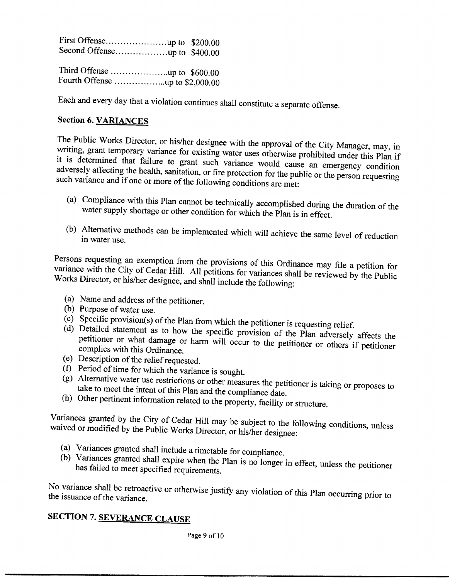Each and every day that a violation continues shall constitute a separate offense

# Section 6. VARIANCES

The Public Works Director, or his/her designee with the approval of the City Manager, may, in writing, grant temporary variance for existing water uses otherwise prohibited under this Plan if it is determined that failure adversely affecting the health, sanitation, or fire protection for the public or the person requesting such variance and if one or more of the following conditions are met:

- (a) Compliance with this Plan cannot be technically accomplished during the duration of the water supply shortage or other condition for which the Plan is in effect.
- (b) Alternative methods can be implemented which will achieve the same level of reduction in water use.

Persons requesting an exemption from the provisions of this Ordinance may file a petition for variance with the City of Cedar Hill. All petitions for variances shall be reviewed by the Public Works Director, or his/her designee, and shall include the following:

- (a) Name and address of the petitioner.
- 
- (b) Purpose of water use.<br>(c) Specific provision(s) of the Plan from which the petitioner is requesting relief.
- (d) Detailed statement as to how the specific provision of the Plan adversely affects the petitioner or what damage or harm will occur to the petitioner or others if petitioner complies with this Ordinance.
- (e) Description of the relief requested.
- (e) Description of the relief requested.<br>
f) Period of time for which the variance is sought
- $(g)$  Alternative water use restrictions or other measures the petitioner is taking or proposes to take to meet the intent of this Plan and the compliance date.
- (h) Other pertinent information related to the property, facility or structure.

Variances granted by the City of Cedar Hill may be subject to the following conditions, unless waived or modified by the Public Works Director, or his/her designee:

- 
- (a) Variances granted shall include a timetable for compliance.<br>
(b) Variances granted shall expire when the Plan is no longer in effect, unless the petitioner has failed to meet specified requirements.

No variance shall be retroactive or otherwise justify any violation of this Plan occurring prior to the issuance of the variance

# **SECTION 7. SEVERANCE CLAUSE**

Page 9 of IO